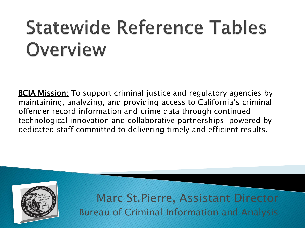# **Statewide Reference Tables** Overview

**BCIA Mission:** To support criminal justice and regulatory agencies by maintaining, analyzing, and providing access to California's criminal offender record information and crime data through continued technological innovation and collaborative partnerships; powered by dedicated staff committed to delivering timely and efficient results.



Marc St.Pierre, Assistant Director Bureau of Criminal Information and Analysis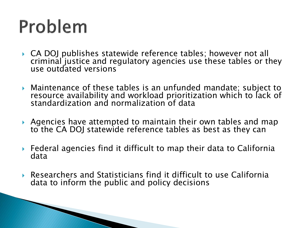## Problem

- ▶ CA DOJ publishes statewide reference tables; however not all criminal justice and regulatory agencies use these tables or they use outdated versions
- Maintenance of these tables is an unfunded mandate; subject to resource availability and workload prioritization which to lack of standardization and normalization of data
- Agencies have attempted to maintain their own tables and map to the CA DOJ statewide reference tables as best as they can
- Federal agencies find it difficult to map their data to California data
- Researchers and Statisticians find it difficult to use California data to inform the public and policy decisions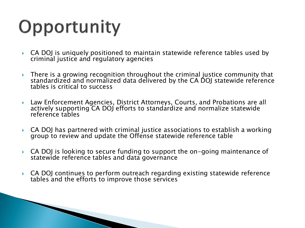## Opportunity

- CA DOJ is uniquely positioned to maintain statewide reference tables used by criminal justice and regulatory agencies
- **There is a growing recognition throughout the criminal justice community that** standardized and normalized data delivered by the CA DOJ statewide reference tables is critical to success
- Law Enforcement Agencies, District Attorneys, Courts, and Probations are all actively supporting CA DOJ efforts to standardize and normalize statewide reference tables
- CA DOJ has partnered with criminal justice associations to establish a working group to review and update the Offense statewide reference table
- CA DOJ is looking to secure funding to support the on-going maintenance of statewide reference tables and data governance
- ▶ CA DOJ continues to perform outreach regarding existing statewide reference tables and the efforts to improve those services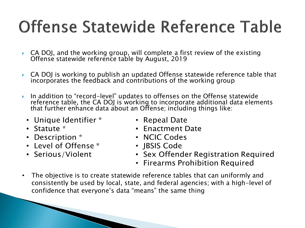#### **Offense Statewide Reference Table**

- $\triangleright$  CA DOJ, and the working group, will complete a first review of the existing Offense statewide reference table by August, 2019
- CA DOJ is working to publish an updated Offense statewide reference table that incorporates the feedback and contributions of the working group
- ▶ In addition to "record-level" updates to offenses on the Offense statewide reference table, the CA DOJ is working to incorporate additional data elements that further enhance data about an Offense; including things like:
	- Unique Identifier \*
	- Statute \*
	- Description \*
	- Level of Offense \*
	- Serious/Violent
- Repeal Date
- Fnactment Date
- NCIC Codes
- IBSIS Code
- Sex Offender Registration Required
- Firearms Prohibition Required
- The objective is to create statewide reference tables that can uniformly and consistently be used by local, state, and federal agencies; with a high-level of confidence that everyone's data "means" the same thing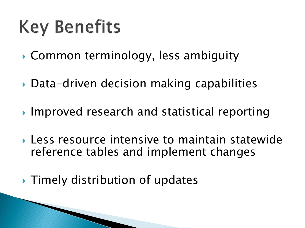## **Key Benefits**

- Common terminology, less ambiguity
- ▶ Data-driven decision making capabilities
- ▶ Improved research and statistical reporting
- Less resource intensive to maintain statewide reference tables and implement changes

**Timely distribution of updates**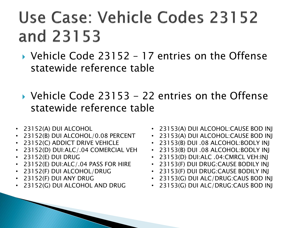#### Use Case: Vehicle Codes 23152 and 23153

- ▶ Vehicle Code 23152 17 entries on the Offense statewide reference table
- ▶ Vehicle Code 23153 22 entries on the Offense statewide reference table
- 23152(A) DUI ALCOHOL
- 23152(B) DUI ALCOHOL/0.08 PERCENT
- 23152(C) ADDICT DRIVE VEHICLE
- 23152(D) DUI:ALC/.04 COMERCIAL VEH
- 23152(E) DUI DRUG
- 23152(E) DUI:ALC/.04 PASS FOR HIRE
- 23152(F) DUI ALCOHOL/DRUG
- 23152(F) DUI ANY DRUG
- 23152(G) DUI ALCOHOL AND DRUG
- 23153(A) DUI ALCOHOL:CAUSE BOD INJ
- 23153(A) DUI ALCOHOL:CAUSE BOD INJ
- 23153(B) DUI .08 ALCOHOL:BODLY INJ
- 23153(B) DUI .08 ALCOHOL:BODLY INJ
- 23153(D) DUI:ALC .04:CMRCL VEH:INJ
- 23153(F) DUI DRUG:CAUSE BODILY INJ
- 23153(F) DUI DRUG:CAUSE BODILY INJ
- 23153(G) DUI ALC/DRUG:CAUS BOD INJ
- 23153(G) DUI ALC/DRUG:CAUS BOD INJ